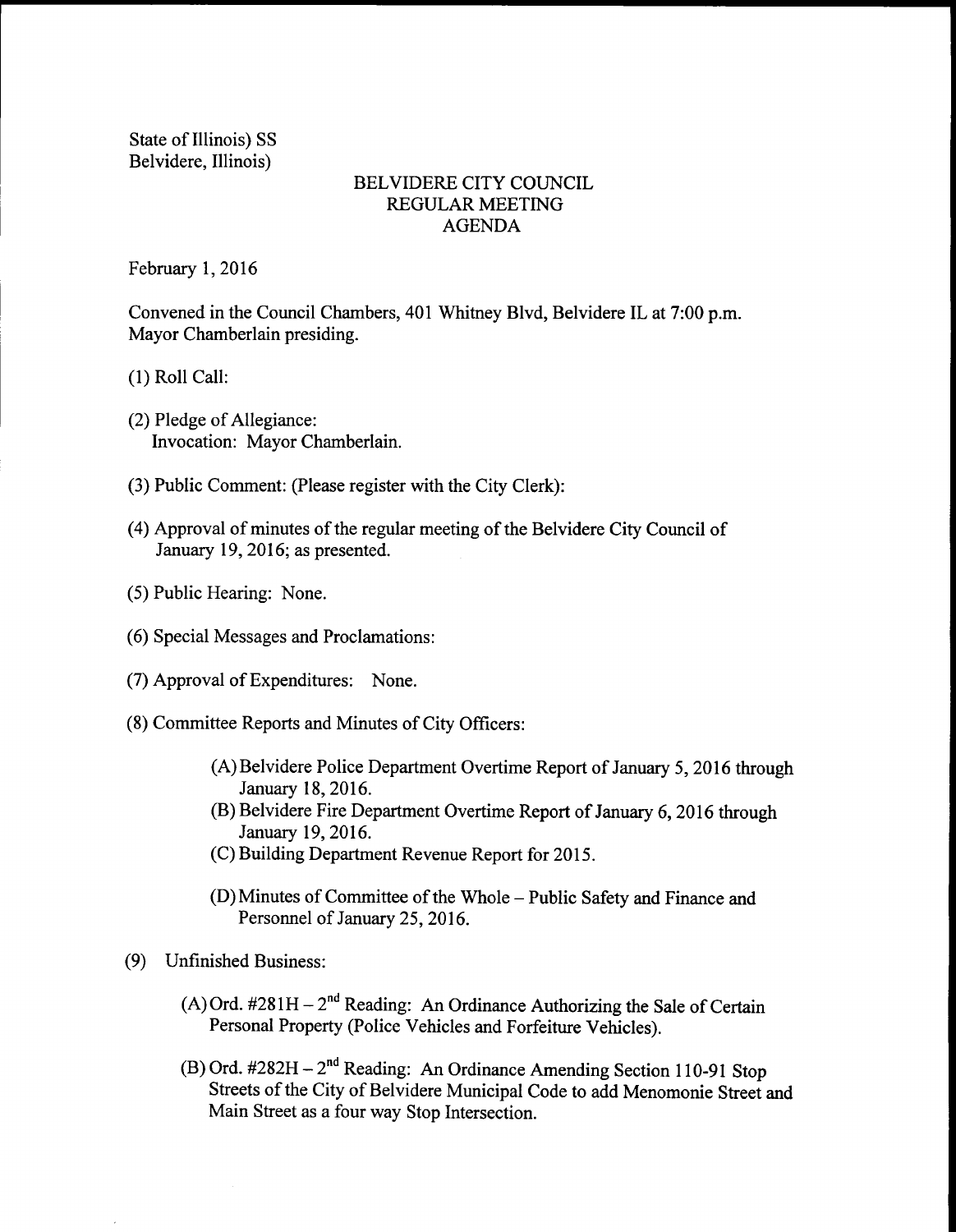State of Illinois) SS Belvidere, Illinois)

## BELVIDERE CITY COUNCIL REGULAR MEETING AGENDA

February 1, 2016

Convened in the Council Chambers, 401 Whitney Blvd, Belvidere IL at 7:00 p.m. Mayor Chamberlain presiding.

1) Roll Call:

- (2) Pledge of Allegiance: Invocation: Mayor Chamberlain.
- 3) Public Comment: (Please register with the City Clerk):
- (4) Approval of minutes of the regular meeting of the Belvidere City Council of January 19, 2016; as presented.
- 5) Public Hearing: None.
- 6) Special Messages and Proclamations:
- (7) Approval of Expenditures: None.
- 8) Committee Reports and Minutes of City Officers:
	- A)Belvidere Police Department Overtime Report of January 5, 2016 through January 18, 2016.
	- B) Belvidere Fire Department Overtime Report of January 6, 2016 through January 19, 2016.
	- C) Building Department Revenue Report for 2015.
	- (D) Minutes of Committee of the Whole Public Safety and Finance and Personnel of January 25, 2016.
- 9) Unfinished Business:
	- A) Ord.  $\#281H 2^{nd}$  Reading: An Ordinance Authorizing the Sale of Certain Personal Property (Police Vehicles and Forfeiture Vehicles).
	- B) Ord.  $\#282H 2^{nd}$  Reading: An Ordinance Amending Section 110-91 Stop Streets of the City of Belvidere Municipal Code to add Menomonie Street and Main Street as <sup>a</sup> four way Stop Intersection.